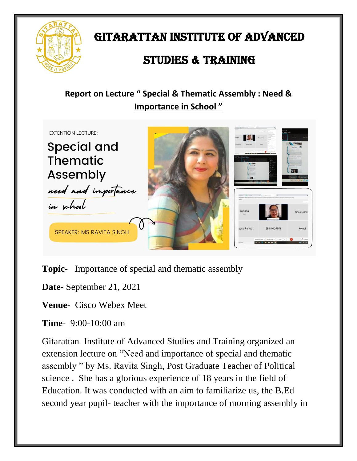

GITARATTAN INSTITUTE OF ADVANCED

## STUDIES & TRAINING

## **Report on Lecture " Special & Thematic Assembly : Need & Importance in School "**



**Topic-** Importance of special and thematic assembly

**Date-** September 21, 2021

**Venue-** Cisco Webex Meet

**Time**- 9:00-10:00 am

Gitarattan Institute of Advanced Studies and Training organized an extension lecture on "Need and importance of special and thematic assembly " by Ms. Ravita Singh, Post Graduate Teacher of Political science . She has a glorious experience of 18 years in the field of Education. It was conducted with an aim to familiarize us, the B.Ed second year pupil- teacher with the importance of morning assembly in